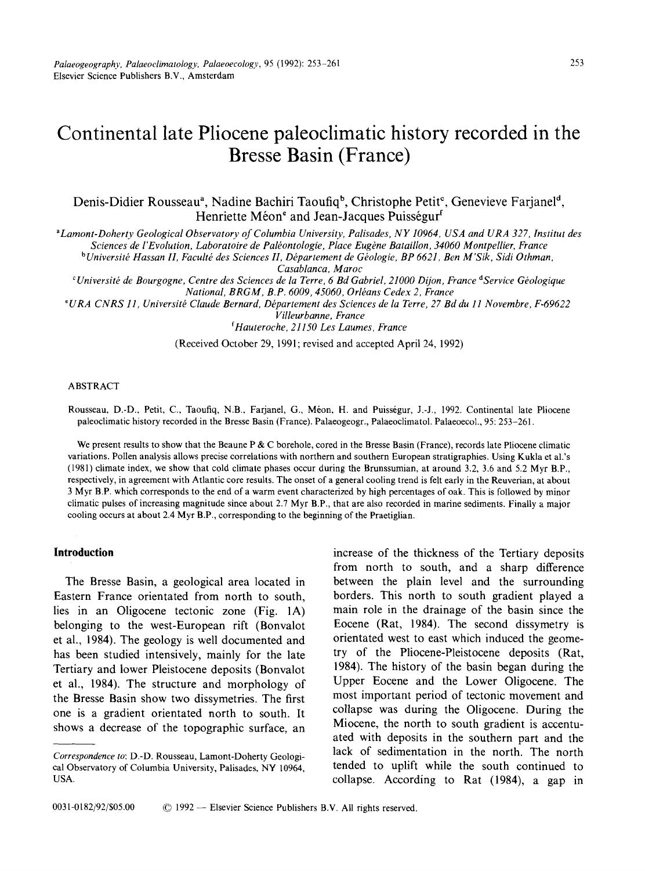# **Continental late Pliocene paleoclimatic history recorded in the Bresse Basin (France)**

Denis-Didier Rousseau<sup>a</sup>, Nadine Bachiri Taoufiq<sup>b</sup>, Christophe Petit<sup>e</sup>, Genevieve Farjanel<sup>d</sup>, Henriette Méon<sup>e</sup> and Jean-Jacques Puisségur<sup>f</sup>

*aLamont-Doherty Geological Observatory of Columbia University, Palisades, NY 10964, USA and URA 327, lnstitut des* 

*Sciences de l'Evolution, Laboratoire de Palkontologie, Place Eugene Bataillon, 34060 Montpellier, France* 

*bUniversitk Hassan H, Facultk des Sciences H, Dkpartement de Gkologie, BP 6621, Ben M'Sik, Sidi Othman, Casablanca, Maroc* 

*~Universit~ de Bourgogne, Centre des Sciences de la Terre, 6 Bd Gabriel, 21000 Dijon, France d Service Gkologique National, BRGM, B.P. 6009, 45060, Orlkans Cedex 2, France* 

*~URA CNRS 11, Universitk Claude Bernard, Dkpartement des Sciences de la Terre, 27 Bd du 11 Novembre, F-69622* 

*Villeurbanne, France* 

*f Hauteroche, 21150 Les Laumes, France* 

(Received October 29, 1991; revised and accepted April 24, 1992)

### ABSTRACT

Rousseau, D.-D., Petit, C., Taoufiq, N.B., Farianel, G., Méon, H. and Puisségur, J.-J., 1992. Continental late Pliocene paleoclimatic history recorded in the Bresse Basin (France). Palaeogeogr., Palaeoclimatol. Palaeoecol., 95: 253-261.

We present results to show that the Beaune P & C borehole, cored in the Bresse Basin (France), records late Pliocene climatic variations. Pollen analysis allows precise correlations with northern and southern European stratigraphies. Using Kukla et al.'s (1981) climate index, we show that cold climate phases occur during the Brunssumian, at around 3.2, 3.6 and 5.2 Myr B.P., respectively, in agreement with Atlantic core results. The onset of a general cooling trend is felt early in the Reuverian, at about 3 Myr B.P. which corresponds to the end of a warm event characterized by high percentages of oak. This is followed by minor climatic pulses of increasing magnitude since about 2.7 Myr B.P., that are also recorded in marine sediments. Finally a major cooling occurs at about 2.4 Myr B.P., corresponding to the beginning of the Praetiglian.

# **Introduction**

The Bresse Basin, a geological area located in Eastern France orientated from north to south, lies in an Oligocene tectonic zone (Fig. 1A) belonging to the west-European rift (Bonvalot et al., 1984). The geology is well documented and has been studied intensively, mainly for the late Tertiary and lower Pleistocene deposits (Bonvalot et al., 1984). The structure and morphology of the Bresse Basin show two dissymetries. The first one is a gradient orientated north to south. It shows a decrease of the topographic surface, an

increase of the thickness of the Tertiary deposits from north to south, and a sharp difference between the plain level and the surrounding borders. This north to south gradient played a main role in the drainage of the basin since the Eocene (Rat, 1984). The second dissymetry is orientated west to east which induced the geometry of the Pliocene-Pleistocene deposits (Rat, 1984). The history of the basin began during the Upper Eocene and the Lower Oligocene. The most important period of tectonic movement and collapse was during the Oligocene. During the Miocene, the north to south gradient is accentuated with deposits in the southern part and the lack of sedimentation in the north. The north tended to uplift while the south continued to collapse. According to Rat (1984), a gap in

*Correspondence to:* D.-D. Rousseau, Lamont-Doherty Geological Observatory of Columbia University, Palisades, NY 10964, USA.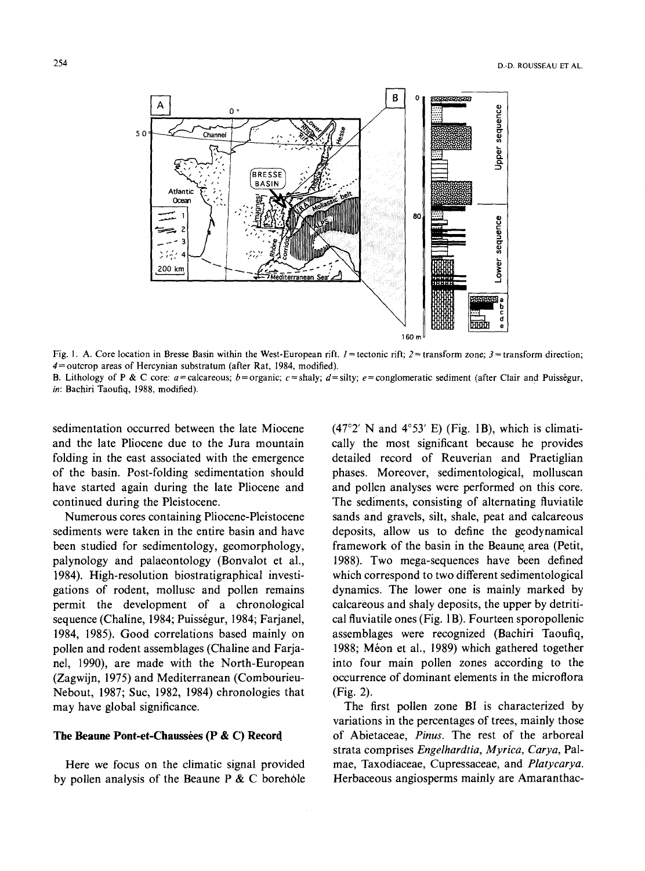

Fig. 1. A. Core location in Bresse Basin within the West-European rift.  $l =$  tectonic rift;  $2 =$  transform zone;  $3 =$  transform direction;  $4$  = outcrop areas of Hercynian substratum (after Rat, 1984, modified).

B. Lithology of P & C core:  $a =$  calcareous;  $b =$  organic;  $c =$  shaly;  $d =$  silty;  $e =$  conglomeratic sediment (after Clair and Puisségur, *in:* Bachiri Taoufiq, 1988, modified).

sedimentation occurred between the late Miocene and the late Pliocene due to the Jura mountain folding in the east associated with the emergence of the basin. Post-folding sedimentation should have started again during the late Pliocene and continued during the Pleistocene.

Numerous cores containing Pliocene-Pleistocene sediments were taken in the entire basin and have been studied for sedimentoiogy, geomorphology, palynology and palaeontology (Bonvalot et al., 1984). High-resolution biostratigraphical investigations of rodent, mollusc and pollen remains permit the development of a chronological sequence (Chaline, 1984; Puisségur, 1984; Farjanel, 1984, 1985). Good correlations based mainly on pollen and rodent assemblages (Chaline and Farjanel, 1990), are made with the North-European (Zagwijn, 1975) and Mediterranean (Combourieu-Nebout, 1987; Suc, 1982, 1984) chronologies that may have global significance.

#### The Beaune Pont-et-Chaussées (P & C) Record

Here we focus on the climatic signal provided by pollen analysis of the Beaune  $P \& C$  borehole  $(47°2'$  N and  $4°53'$  E) (Fig. 1B), which is climatically the most significant because he provides detailed record of Reuverian and Praetiglian phases. Moreover, sedimentological, molluscan and pollen analyses were performed on this core. The sediments, consisting of alternating fluviatile sands and gravels, silt, shale, peat and calcareous deposits, allow us to define the geodynamical framework of the basin in the Beaune area (Petit, 1988). Two mega-sequences have been defined which correspond to two different sedimentological dynamics. The lower one is mainly marked by calcareous and shaly deposits, the upper by detritical fluviatile ones (Fig. 1B). Fourteen sporopollenic assemblages were recognized (Bachiri Taoufiq, 1988; Méon et al., 1989) which gathered together into four main pollen zones according to the occurrence of dominant elements in the microflora (Fig. 2).

The first pollen zone BI is characterized by variations in the percentages of trees, mainly those of Abietaceae, *Pinus.* The rest of the arboreal strata comprises *Engelhardtia, Myrica, Carya,* Palmae, Taxodiaceae, Cupressaceae, and *Platycarya.*  Herbaceous angiosperms mainly are Amaranthac-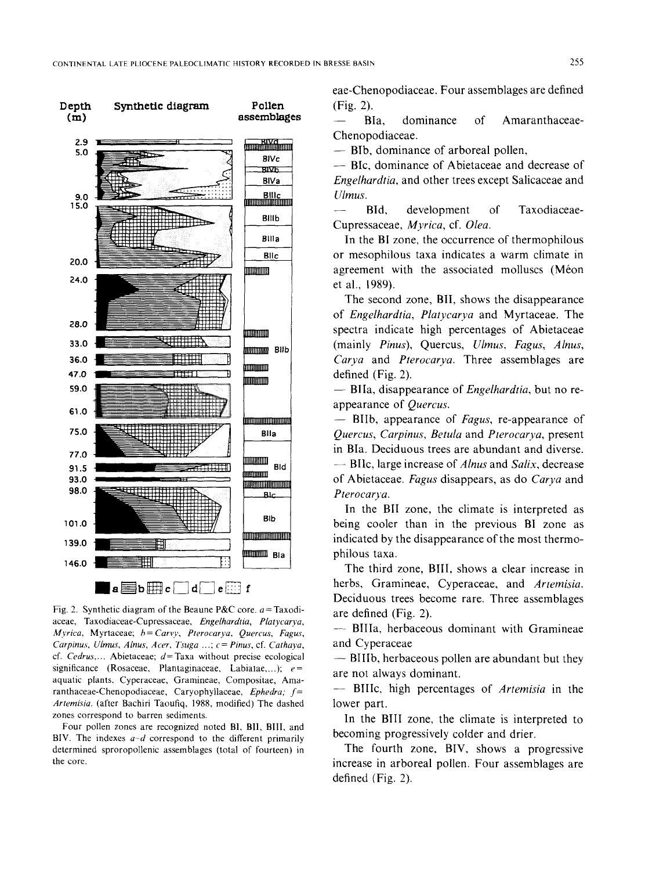

Fig. 2. Synthetic diagram of the Beaune P&C core.  $a = Taxodi$ aceae, Taxodiaceae-Cupressaceae, *Engelhardtia, Platycarya, Myrica,* Myrtaceae; *b=Carvy, Pterocarya, Quercus, Fagus, Carpinus, UImus, Alnus, Acer, Tsuga ...; c = Pinus,* cf. *Cathaya,*  cf. *Cedrus,...* Abietaceae; d=Taxa without precise ecological significance (Rosaceae, Plantaginaceae, Labiatae,...);  $e =$ aquatic plants, Cyperaceae, Gramineae, Compositae, Amaranthaceae-Chenopodiaceae, Caryophyllaceae, *Ephedra; f= Artemisia.* (after Bachiri Taoufiq, 1988, modified) The dashed zones correspond to barren sediments.

Four pollen zones are recognized noted B], BII, BIll, and BIV. The indexes *a-d* correspond to the different primarily determined sproropollenic assemblages (total of fourteen) in the core.

eae-Chenopodiaceae. Four assemblages are defined (Fig. 2).

BIa, dominance of Amaranthaceae-Chenopodiaceae.

**--** Bib, dominance of arboreal pollen,

**--** BIc, dominance of Abietaceae and decrease of *Engelhardtia,* and other trees except Salicaceae and U/mus.

- BId, development of Taxodiaceae-Cupressaceae, *Myrica,* cf. *Olea.* 

In the BI zone, the occurrence of thermophilous or mesophilous taxa indicates a warm climate in agreement with the associated molluscs (Méon et al., 1989).

The second zone, BII, shows the disappearance of *Engelhardtia, Platycarya* and Myrtaceae. The spectra indicate high percentages of Abietaceae (mainly *Pinus),* Quercus, *Ulmus, Fagus, Alnus, Carya* and *Pterocarya*. Three assemblages are defined (Fig. 2).

-- BIla, disappearance of *Engelhardtia,* but no reappearance of *Quercus.* 

-- BIIb, appearance of *Fagus,* re-appearance of *Quercus, Carpinus, Betula* and *Pterocarya,* present in BIa. Deciduous trees are abundant and diverse. -- BIlc, large increase of *Alnus* and *Salix,* decrease of Abietaceae. *Fagus* disappears, as do *Carya* and Pterocarva.

In the BII zone, the climate is interpreted as being cooler than in the previous BI zone as indicated by the disappearance of the most thermophilous taxa.

The third zone, BIII, shows a clear increase in herbs, Gramineae, Cyperaceae, and *Artemisia.*  Deciduous trees become rare. Three assemblages are defined (Fig. 2).

**--** BIIIa, herbaceous dominant with Gramineae and Cyperaceae

 $-$  BIIIb, herbaceous pollen are abundant but they are not always dominant.

-- BIIIc, high percentages of *Artemisia* in the lower part.

In the BIII zone, the climate is interpreted to becoming progressively colder and drier.

The fourth zone, BIV, shows a progressive increase in arboreal pollen. Four assemblages are defined (Fig. 2).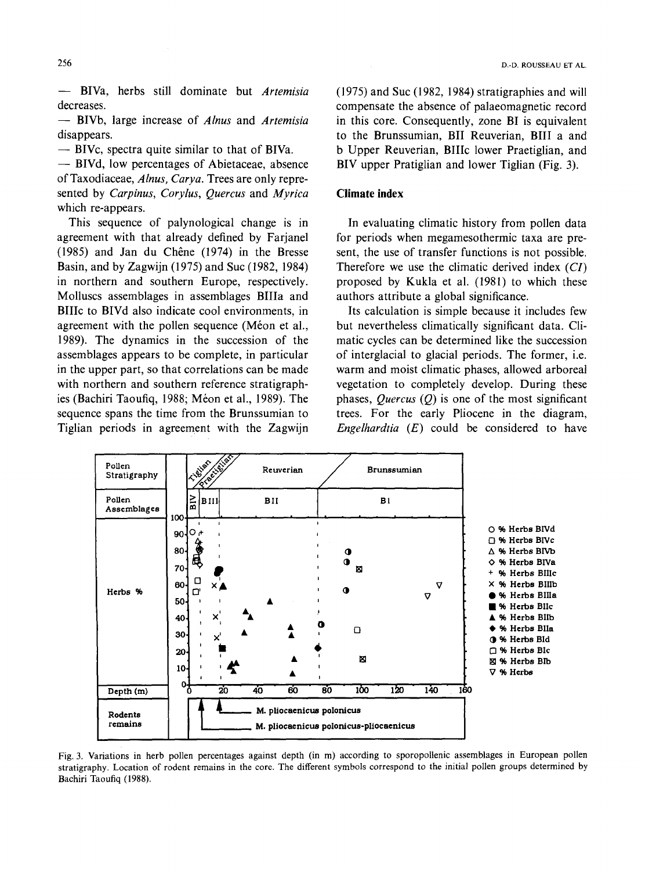**--** BIVa, herbs still dominate but *Artemisia*  decreases.

-- BIVb, large increase of *Alnus* and *Artemisia*  disappears.

**--** BIVc, spectra quite similar to that of BIVa.

**--** BIVd, low percentages of Abietaceae, absence of Taxodiaceae, *Alnus, Carya.* Trees are only represented by *Carpinus, Corylus, Quercus* and *Myrica*  which re-appears.

This sequence of palynological change is in agreement with that already defined by Farjanel  $(1985)$  and Jan du Chêne  $(1974)$  in the Bresse Basin, and by Zagwijn (1975) and Suc (1982, 1984) in northern and southern Europe, respectively. Molluscs assemblages in assemblages BIIIa and BIIIc to BIVd also indicate cool environments, in agreement with the pollen sequence (Méon et al., 1989). The dynamics in the succession of the assemblages appears to be complete, in particular in the upper part, so that correlations can be made with northern and southern reference stratigraphies (Bachiri Taoufig, 1988; Méon et al., 1989). The sequence spans the time from the Brunssumian to Tiglian periods in agreement with the Zagwijn (1975) and Suc (1982, 1984) stratigraphies and will compensate the absence of palaeomagnetic record in this core. Consequently, zone BI is equivalent to the Brunssumian, BII Reuverian, BIII a and b Upper Reuverian, BIIIc lower Praetiglian, and BIV upper Pratiglian and lower Tiglian (Fig. 3).

# **Climate index**

In evaluating climatic history from pollen data for periods when megamesothermic taxa are present, the use of transfer functions is not possible. Therefore we use the climatic derived index *(CI)*  proposed by Kukla et al. (1981) to which these authors attribute a global significance.

Its calculation is simple because it includes few but nevertheless climatically significant data. Climatic cycles can be determined like the succession of interglacial to glacial periods. The former, i.e. warm and moist climatic phases, allowed arboreal vegetation to completely develop. During these phases, *Quercus (Q)* is one of the most significant trees. For the early Pliocene in the diagram, *Engelhardtia (E)* could be considered to have



Fig. 3. Variations in herb pollen percentages against depth (in m) according to sporopollenic assemblages in European pollen stratigraphy. Location of rodent remains in the core. The different symbols correspond to the initial pollen groups determined by Bachiri Taoufiq (1988).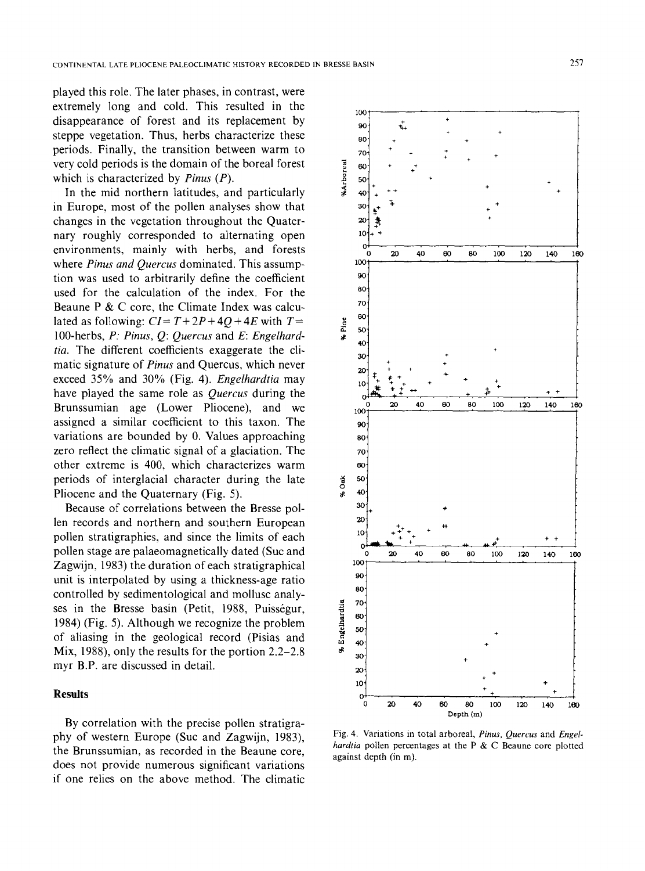played this role. The later phases, in contrast, were extremely long and cold. This resulted in the  $_{100}$ disappearance of forest and its replacement by  $\frac{100}{90}$ steppe vegetation. Thus, herbs characterize these  $\frac{1}{80}$ periods. Finally, the transition between warm to  $\frac{1}{70}$ very cold periods is the domain of the boreal forest<br>which is characterized by *Pinus* (*P*).  $\frac{8}{8}$  =  $\frac{60}{50}$ <br>In the mid northern latitudes, and particularly which is characterized by *Pinus (P). ~ so.* 

In the mid northern latitudes, and particularly  $\frac{1}{2}$  40 in Europe, most of the pollen analyses show that  $30$ changes in the vegetation throughout the Quater- 20 nary roughly corresponded to alternating open <sup>10</sup> environments, mainly with herbs, and forests where *Pinus and Quercus* dominated. This assumption was used to arbitrarily define the coefficient used for the calculation of the index. For the Beaune P  $&$  C core, the Climate Index was calculated as following:  $CI = T + 2P + 4Q + 4E$  with  $T =$ 100-herbs, *P: Pinus, Q: Quercus* and E: *Engelhardtia.* The different coefficients exaggerate the climatic signature of *Pinus* and Quercus, which never exceed 35% and 30% (Fig. 4). *Engelhardtia* may have played the same role as *Quercus* during the Brunssumian age (Lower Pliocene), and we assigned a similar coefficient to this taxon. The  $\sim$  90 variations are bounded by  $0$ . Values approaching  $\qquad \qquad$  80 zero reflect the climatic signal of a glaciation. The  $70^{\circ}$ other extreme is 400, which characterizes warm 60 periods of interglacial character during the late  $\frac{4}{9}$  so Pliocene and the Quaternary (Fig. 5).

Because of correlations between the Bresse pollen records and northern and southern European pollen stratigraphies, and since the limits of each pollen stage are palaeomagnetically dated (Suc and Zagwijn, 1983) the duration of each stratigraphical  $^{100}$ <br>unit is internalated by using a thiskness are notic unit is interpolated by using a thickness-age ratio  $\frac{90}{80}$ controlled by sedimentological and mollusc analy-<br>ses in the Bresse basin (Petit, 1988, Puisségur, 1984) (Fig. 5). Although we recognize the problem<br>of aliasing in the geological record (Pisias and  $\frac{80}{6}$ ses in the Bresse basin (Petit, 1988, Puisségur, 1984) (Fig. 5). Although we recognize the problem  $\frac{2}{3}$   $\frac{8}{50}$ of aliasing in the geological record (Pisias and  $\frac{8}{40}$   $\frac{60}{40}$   $\frac{1}{40}$ Mix, 1988), only the results for the portion 2.2–2.8  $\frac{1}{30}$ myr B.P. are discussed in detail.

## **Results**

By correlation with the precise pollen stratigraphy of western Europe (Suc and Zagwijn, 1983), the Brunssumian, as recorded in the Beaune core, does not provide numerous significant variations if one relies on the above method. The climatic



Fig. 4. Variations in total arboreal, *Pinus, Quercus* and *Engelhardtia* pollen percentages at the P & C Beaune core plotted against depth (in m).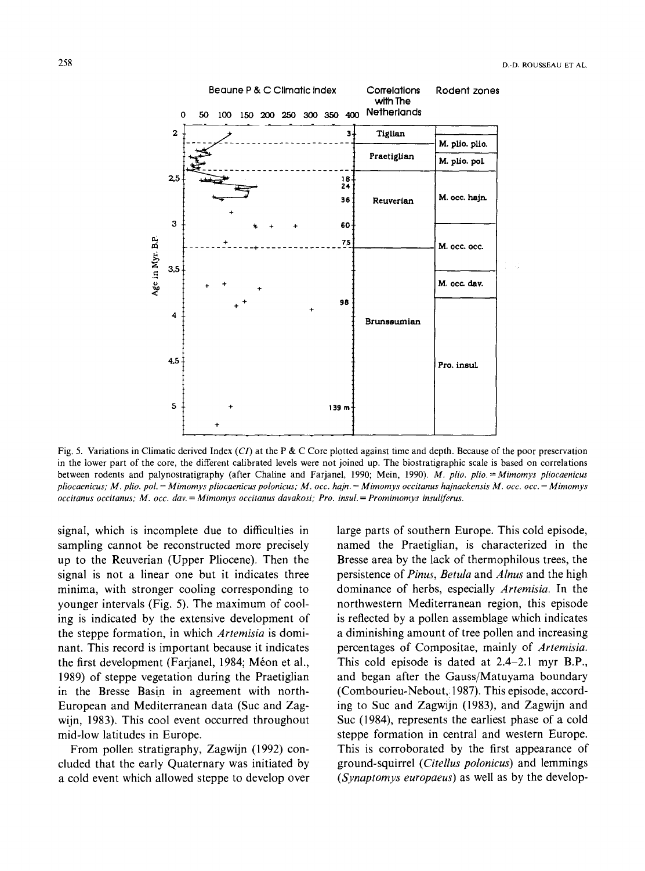

Fig. 5. Variations in Climatic derived Index *(CI)* at the P & C Core plotted against time and depth. Because of the poor preservation in the lower part of the core, the different calibrated levels were not joined up. The biostratigraphic scale is based on correlations between rodents and palynostratigraphy (after Chaline and Farjanel, 1990; Mein, 1990). *M. plio. plio. =Mimomys pliocaenicus pliocaenicus; M. plio. pol. = Mimomys pliocaenicus polonicus; M. occ. hajn. = Mimomys occitanus hajnackensis M. occ. occ. = Mimomys occitanus occitanus; M. occ. day. = Mimornys occitanus davakosi; Pro. insul. = Promimomys insuliferus.* 

signal, which is incomplete due to difficulties in sampling cannot be reconstructed more precisely up to the Reuverian (Upper Pliocene). Then the signal is not a linear one but it indicates three minima, with stronger cooling corresponding to younger intervals (Fig. 5). The maximum of cooling is indicated by the extensive development of the steppe formation, in which *Artemisia* is dominant. This record is important because it indicates the first development (Farjanel, 1984; Méon et al., 1989) of steppe vegetation during the Praetiglian in the Bresse Basin in agreement with north-European and Mediterranean data (Suc and Zagwijn, 1983). This cool event occurred throughout mid-low latitudes in Europe.

From pollen stratigraphy, Zagwijn (1992) concluded that the early Quaternary was initiated by a cold event which allowed steppe to develop over large parts of southern Europe. This cold episode, named the Praetiglian, is characterized in the Bresse area by the lack of thermophilous trees, the persistence of *Pinus, Betula* and *Alnus* and the high dominance of herbs, especially *Artemisia.* In the northwestern Mediterranean region, this episode is reflected by a pollen assemblage which indicates a diminishing amount of tree pollen and increasing percentages of Compositae, mainly of *Artemisia.*  This cold episode is dated at 2.4-2.1 myr B.P., and began after the Gauss/Matuyama boundary (Combourieu-Nebout,! 1987). This episode, according to Suc and Zagwijn (1983), and Zagwijn and Suc (1984), represents the earliest phase of a cold steppe formation in central and western Europe. This is corroborated by the first appearance of ground-squirrel *(Citellus polonicus)* and lemmings *(Synaptomys europaeus)* as well as by the develop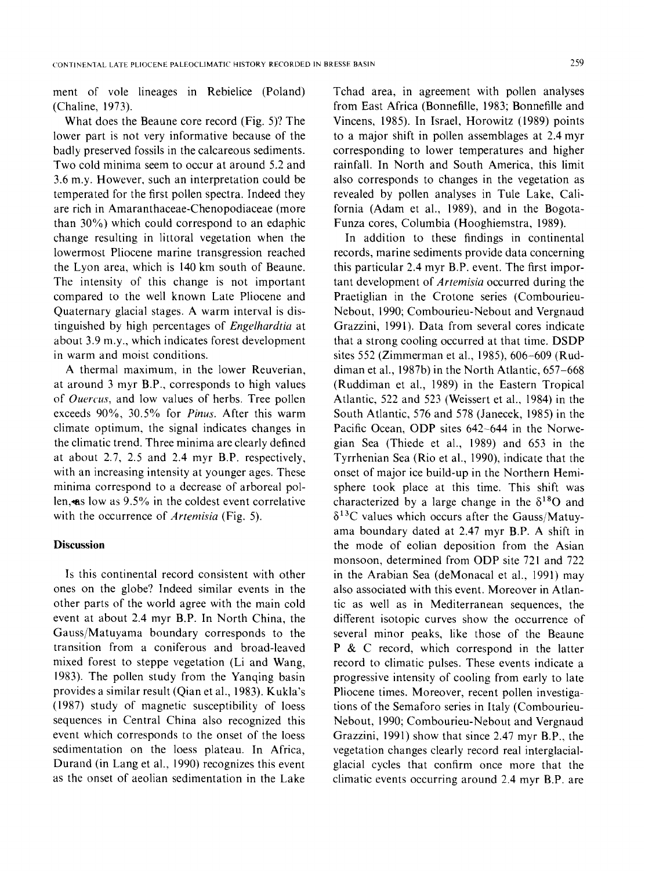ment of vole lineages in Rebielice (Poland) (Chaline, 1973).

What does the Beaune core record (Fig. 5)? The lower part is not very informative because of the badly preserved fossils in the calcareous sediments. Two cold minima seem to occur at around 5.2 and 3.6 m.y. However, such an interpretation could be temperated for the first pollen spectra. Indeed they are rich in Amaranthaceae-Chenopodiaceae (more than 30%) which could correspond to an edaphic change resulting in littoral vegetation when the lowermost Pliocene marine transgression reached the Lyon area, which is 140 km south of Beaune. The intensity of this change is not important compared to the well known Late Pliocene and Quaternary glacial stages. A warm interval is distinguished by high percentages of *Engelhardtia* at about 3.9 m.y., which indicates forest development in warm and moist conditions.

A thermal maximum, in the lower Reuverian, at around 3 myr B.P., corresponds to high values of *Ouercus,* and low values of herbs. Tree pollen exceeds 90%, 30.5% for *Pinus.* After this warm climate optimum, the signal indicates changes in the climatic trend. Three minima are clearly defined at about 2.7, 2.5 and 2.4 myr B.P. respectively, with an increasing intensity at younger ages. These minima correspond to a decrease of arboreal pollen, as low as 9.5% in the coldest event correlative with the occurrence of *Artemisia* (Fig. 5).

## **Discussion**

Is this continental record consistent with other ones on the globe? Indeed similar events in the other parts of the world agree with the main cold event at about 2.4 myr B.P. In North China, the Gauss/Matuyama boundary corresponds to the transition from a coniferous and broad-leaved mixed forest to steppe vegetation (Li and Wang, 1983). The pollen study from the Yanqing basin provides a similar result (Qian et al., 1983). Kukla's (1987) study of magnetic susceptibility of loess sequences in Central China also recognized this event which corresponds to the onset of the loess sedimentation on the loess plateau. In Africa, Durand (in Lang et al., 1990) recognizes this event as the onset of aeolian sedimentation in the Lake

Tchad area, in agreement with pollen analyses from East Africa (Bonnefille, 1983; Bonnefille and Vincens, 1985). In Israel, Horowitz (1989) points to a major shift in pollen assemblages at 2.4 myr corresponding to lower temperatures and higher rainfall. In North and South America, this limit also corresponds to changes in the vegetation as revealed by pollen analyses in Tule Lake, California (Adam et al., 1989), and in the Bogota-Funza cores, Columbia (Hooghiemstra, 1989).

In addition to these findings in continental records, marine sediments provide data concerning this particular 2.4 myr B.P. event. The first important development of *Artemisia* occurred during the Praetiglian in the Crotone series (Combourieu-Nebout, 1990; Combourieu-Nebout and Vergnaud Grazzini, 1991). Data from several cores indicate that a strong cooling occurred at that time. DSDP sites 552 (Zimmerman et al., 1985), 606-609 (Ruddiman et al., 1987b) in the North Atlantic, 657-668 (Ruddiman et al., 1989) in the Eastern Tropical Atlantic, 522 and 523 (Weissert et al., 1984) in the South Atlantic, 576 and 578 (Janecek, 1985) in the Pacific Ocean, ODP sites 642-644 in the Norwegian Sea (Thiede et al., 1989) and 653 in the Tyrrhenian Sea (Rio et al., 1990), indicate that the onset of major ice build-up in the Northern Hemisphere took place at this time. This shift was characterized by a large change in the  $\delta^{18}$ O and  $\delta^{13}$ C values which occurs after the Gauss/Matuyama boundary dated at 2.47 myr B.P. A shift in the mode of eolian deposition from the Asian monsoon, determined from ODP site 721 and 722 in the Arabian Sea (deMonacal et al., 1991) may also associated with this event. Moreover in Atlantic as well as in Mediterranean sequences, the different isotopic curves show the occurrence of several minor peaks, like those of the Beaune P & C record, which correspond in the latter record to climatic pulses. These events indicate a progressive intensity of cooling from early to late Pliocene times. Moreover, recent pollen investigations of the Semaforo series in Italy (Combourieu-Nebout, 1990; Combourieu-Nebout and Vergnaud Grazzini, 1991) show that since 2.47 myr B.P., the vegetation changes clearly record real interglacialglacial cycles that confirm once more that the climatic events occurring around 2.4 myr B.P. are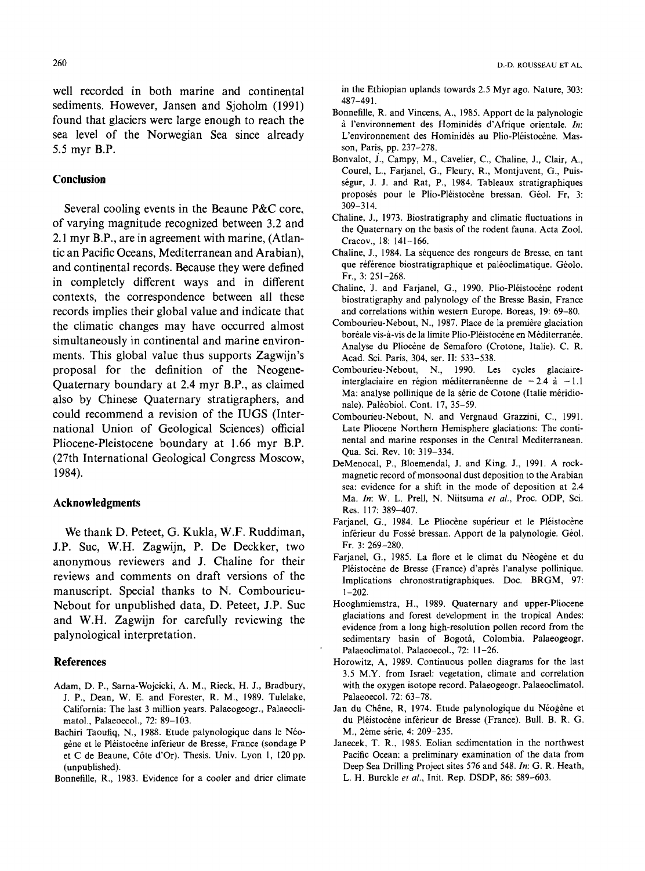well recorded in both marine and continental sediments. However, Jansen and Sjoholm (1991) found that glaciers were large enough to reach the sea level of the Norwegian Sea since already 5.5 myr B.P.

# **Conclusion**

Several cooling events in the Beaune P&C core, of varying magnitude recognized between 3.2 and 2.1 myr B.P., are in agreement with marine, (Atlantic an Pacific Oceans, Mediterranean and Arabian), and continental records. Because they were defined in completely different ways and in different contexts, the correspondence between all these records implies their global value and indicate that the climatic changes may have occurred almost simultaneously in continental and marine environments. This global value thus supports Zagwijn's proposal for the definition of the Neogene-Quaternary boundary at 2.4 myr B.P., as claimed also by Chinese Quaternary stratigraphers, and could recommend a revision of the IUGS (International Union of Geological Sciences) official Pliocene-Pleistocene boundary at 1.66 myr B.P. (27th International Geological Congress Moscow, 1984).

## **Acknowledgments**

We thank D. Peteet, G. Kukla, W.F. Ruddiman, J.P. Suc, W.H. Zagwijn, P. De Deckker, two anonymous reviewers and J. Chaline for their reviews and comments on draft versions of the manuscript. Special thanks to N. Combourieu-Nebout for unpublished data, D. Peteet, J.P. Suc and W.H. Zagwijn for carefully reviewing the palynological interpretation.

#### **References**

- Adam, D. P., Sarna-Wojcicki, A. M., Rieck, H. J., Bradbury, J. P., Dean, W. E. and Forester, R, M., 1989. Tulelake, California: The last 3 million years. Palaeogeogr,, Palaeoclimatol., Palaeoecol., 72: 89-103.
- Bachiri Taoufiq, N., 1988. Etude palynologique dans le Néogène et le Pléistocène inférieur de Bresse, France (sondage P et C de Beaune, C6te d'Or). Thesis. Univ. Lyon 1, 120 pp. (unpublished).

Bonnefille, R., 1983. Evidence for a cooler and drier climate

in the Ethiopian uplands towards 2.5 Myr ago. Nature, 303: 487-491.

- Bonnefille, R. and Vincens, A., 1985. Apport de la palynologie à l'environnement des Hominidés d'Afrique orientale. In: L'environnement des Hominidés au Plio-Pléistocène. Masson, Paris, pp. 237-278.
- Bonvalot, J., Campy, M., Cavelier, C., Chaline, J., Clair, A., Courel, L., Farjanel, G., Fleury, R., Montjuvent, G., Puisségur, J. J. and Rat, P., 1984. Tableaux stratigraphiques proposés pour le Plio-Pléistocène bressan. Géol. Fr, 3: 309-314.
- Chaline, J., 1973. Biostratigraphy and climatic fluctuations in the Quaternary on the basis of the rodent fauna. Acta Zool. Cracov., 18: 141-166.
- Chaline, J., 1984. La séquence des rongeurs de Bresse, en tant que référence biostratigraphique et paléoclimatique. Géolo. Fr., 3: 251-268.
- Chaline, J. and Farjanel, G., 1990. Plio-Pléistocène rodent biostratigraphy and palynology of the Bresse Basin, France and correlations within western Europe. Boreas, 19: 69-80.
- Combourieu-Nebout, N., 1987. Place de la première glaciation boréale vis-à-vis de la limite Plio-Pléistocène en Méditerranée. Analyse du Pliocène de Semaforo (Crotone, Italie). C. R. Acad. Sci. Paris, 304, ser, II: 533-538.
- Combourieu-Nebout, N., 1990. Les cycles glaciaireinterglaciaire en région méditerranéenne de  $-2.4$  à  $-1.1$ Ma: analyse pollinique de la série de Cotone (Italie méridionale). Paléobiol. Cont. 17, 35-59.
- Combourieu-Nebout, N. and Vergnaud Grazzini, C., 1991. Late Pliocene Northern Hemisphere glaciations: The continental and marine responses in the Central Mediterranean. Qua. Sci. Rev. I0: 319-334.
- DeMenocal, P., Bloemendal, J. and King. J., 1991. A rockmagnetic record of monsoonal dust deposition to the Arabian sea: evidence for a shift in the mode of deposition at 2.4 Ma. *In:* W. L. Prell, N. Niitsuma *et al.,* Proc. ODP, Sci. Res. 117: 389-407.
- Farjanel, G., 1984. Le Pliocène supérieur et le Pléistocène inférieur du Fossé bressan. Apport de la palynologie. Géol. Fr. 3: 269-280.
- Farjanel, G., 1985. La flore et le climat du Néogène et du Pléistocène de Bresse (France) d'après l'analyse pollinique. Implications chronostratigraphiques. Doc. BRGM, 97: 1-202.
- Hooghmiemstra, H., 1989. Quaternary and upper-Pliocene glaciations and forest development in the tropical Andes: evidence from a long high-resolution pollen record from the sedimentary basin of Bogotá, Colombia. Palaeogeogr. Palaeoclimatol. Palaeoecol., 72: 11-26.
- Horowitz, A, 1989. Continuous pollen diagrams for the last 3.5 M.Y. from Israel: vegetation, climate and correlation with the oxygen isotope record. Palaeogeogr. Palaeoclimatol. Palaeoecol. 72: 63-78.
- Jan du Chêne, R, 1974. Etude palynologique du Néogène et du Pléistocène inférieur de Bresse (France). Bull. B. R. G. M., 2ème série, 4: 209-235.
- Janecek, T. R., 1985. Eolian sedimentation in the northwest Pacific Ocean: a preliminary examination of the data from Deep Sea Drilling Project sites 576 and 548. *In:* G. R. Heath, L. H. Burckle *et al.,* Init. Rep. DSDP, 86: 589-603.